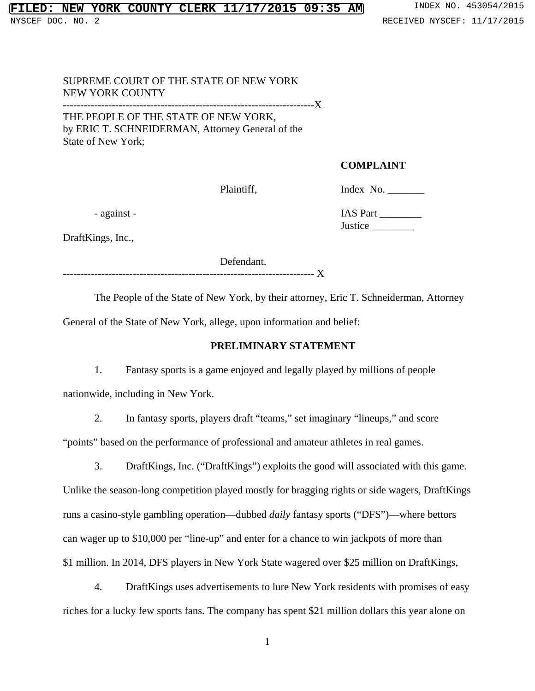# SUPREME COURT OF THE STATE OF NEW YORK NEW YORK COUNTY ------------------------------------------------------------------------X THE PEOPLE OF THE STATE OF NEW YORK,

by ERIC T. SCHNEIDERMAN, Attorney General of the State of New York;

### **COMPLAINT**

Plaintiff, Index No. \_\_\_\_\_\_\_\_\_\_

DraftKings, Inc.,

Defendant.

------------------------------------------------------------------------ X

The People of the State of New York, by their attorney, Eric T. Schneiderman, Attorney General of the State of New York, allege, upon information and belief:

# **PRELIMINARY STATEMENT**

1. Fantasy sports is a game enjoyed and legally played by millions of people nationwide, including in New York.

2. In fantasy sports, players draft "teams," set imaginary "lineups," and score "points" based on the performance of professional and amateur athletes in real games.

3. DraftKings, Inc. ("DraftKings") exploits the good will associated with this game. Unlike the season-long competition played mostly for bragging rights or side wagers, DraftKings runs a casino-style gambling operation—dubbed *daily* fantasy sports ("DFS")—where bettors can wager up to \$10,000 per "line-up" and enter for a chance to win jackpots of more than \$1 million. In 2014, DFS players in New York State wagered over \$25 million on DraftKings,

4. DraftKings uses advertisements to lure New York residents with promises of easy riches for a lucky few sports fans. The company has spent \$21 million dollars this year alone on

1

 - against - IAS Part \_\_\_\_\_\_\_\_ Justice \_\_\_\_\_\_\_\_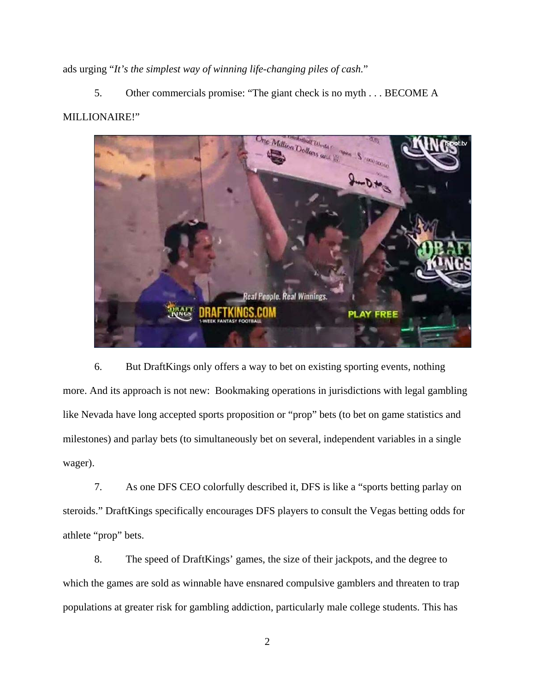ads urging "*It's the simplest way of winning life-changing piles of cash.*"

5. Other commercials promise: "The giant check is no myth . . . BECOME A MILLIONAIRE!"



6. But DraftKings only offers a way to bet on existing sporting events, nothing more. And its approach is not new: Bookmaking operations in jurisdictions with legal gambling like Nevada have long accepted sports proposition or "prop" bets (to bet on game statistics and milestones) and parlay bets (to simultaneously bet on several, independent variables in a single wager).

7. As one DFS CEO colorfully described it, DFS is like a "sports betting parlay on steroids." DraftKings specifically encourages DFS players to consult the Vegas betting odds for athlete "prop" bets.

8. The speed of DraftKings' games, the size of their jackpots, and the degree to which the games are sold as winnable have ensnared compulsive gamblers and threaten to trap populations at greater risk for gambling addiction, particularly male college students. This has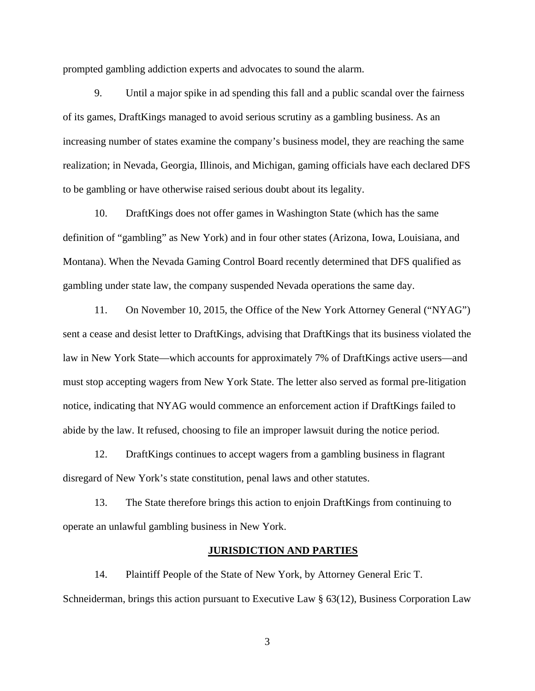prompted gambling addiction experts and advocates to sound the alarm.

9. Until a major spike in ad spending this fall and a public scandal over the fairness of its games, DraftKings managed to avoid serious scrutiny as a gambling business. As an increasing number of states examine the company's business model, they are reaching the same realization; in Nevada, Georgia, Illinois, and Michigan, gaming officials have each declared DFS to be gambling or have otherwise raised serious doubt about its legality.

10. DraftKings does not offer games in Washington State (which has the same definition of "gambling" as New York) and in four other states (Arizona, Iowa, Louisiana, and Montana). When the Nevada Gaming Control Board recently determined that DFS qualified as gambling under state law, the company suspended Nevada operations the same day.

11. On November 10, 2015, the Office of the New York Attorney General ("NYAG") sent a cease and desist letter to DraftKings, advising that DraftKings that its business violated the law in New York State—which accounts for approximately 7% of DraftKings active users—and must stop accepting wagers from New York State. The letter also served as formal pre-litigation notice, indicating that NYAG would commence an enforcement action if DraftKings failed to abide by the law. It refused, choosing to file an improper lawsuit during the notice period.

12. DraftKings continues to accept wagers from a gambling business in flagrant disregard of New York's state constitution, penal laws and other statutes.

13. The State therefore brings this action to enjoin DraftKings from continuing to operate an unlawful gambling business in New York.

### **JURISDICTION AND PARTIES**

14. Plaintiff People of the State of New York, by Attorney General Eric T. Schneiderman, brings this action pursuant to Executive Law § 63(12), Business Corporation Law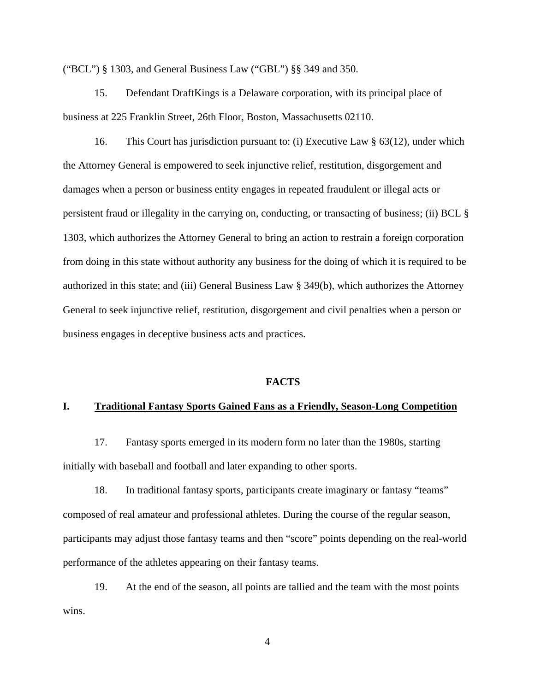("BCL") § 1303, and General Business Law ("GBL") §§ 349 and 350.

15. Defendant DraftKings is a Delaware corporation, with its principal place of business at 225 Franklin Street, 26th Floor, Boston, Massachusetts 02110.

16. This Court has jurisdiction pursuant to: (i) Executive Law § 63(12), under which the Attorney General is empowered to seek injunctive relief, restitution, disgorgement and damages when a person or business entity engages in repeated fraudulent or illegal acts or persistent fraud or illegality in the carrying on, conducting, or transacting of business; (ii) BCL § 1303, which authorizes the Attorney General to bring an action to restrain a foreign corporation from doing in this state without authority any business for the doing of which it is required to be authorized in this state; and (iii) General Business Law § 349(b), which authorizes the Attorney General to seek injunctive relief, restitution, disgorgement and civil penalties when a person or business engages in deceptive business acts and practices.

### **FACTS**

#### **I. Traditional Fantasy Sports Gained Fans as a Friendly, Season-Long Competition**

17. Fantasy sports emerged in its modern form no later than the 1980s, starting initially with baseball and football and later expanding to other sports.

18. In traditional fantasy sports, participants create imaginary or fantasy "teams" composed of real amateur and professional athletes. During the course of the regular season, participants may adjust those fantasy teams and then "score" points depending on the real-world performance of the athletes appearing on their fantasy teams.

19. At the end of the season, all points are tallied and the team with the most points wins.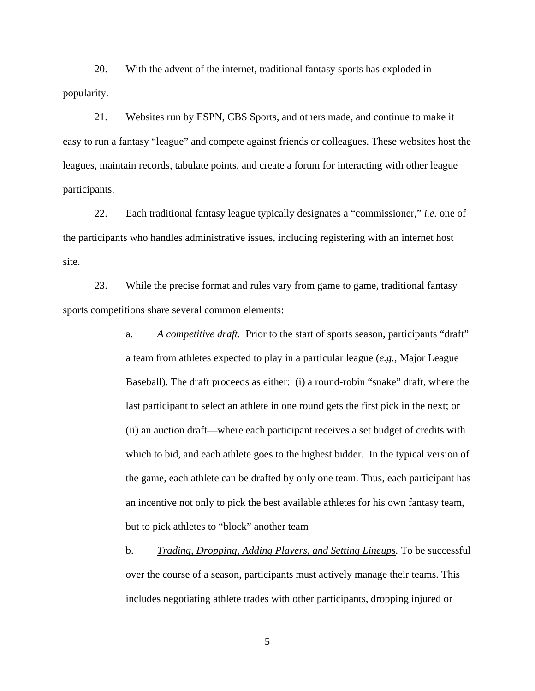20. With the advent of the internet, traditional fantasy sports has exploded in popularity.

21. Websites run by ESPN, CBS Sports, and others made, and continue to make it easy to run a fantasy "league" and compete against friends or colleagues. These websites host the leagues, maintain records, tabulate points, and create a forum for interacting with other league participants.

22. Each traditional fantasy league typically designates a "commissioner," *i.e.* one of the participants who handles administrative issues, including registering with an internet host site.

23. While the precise format and rules vary from game to game, traditional fantasy sports competitions share several common elements:

> a. *A competitive draft.* Prior to the start of sports season, participants "draft" a team from athletes expected to play in a particular league (*e.g.*, Major League Baseball). The draft proceeds as either: (i) a round-robin "snake" draft, where the last participant to select an athlete in one round gets the first pick in the next; or (ii) an auction draft—where each participant receives a set budget of credits with which to bid, and each athlete goes to the highest bidder. In the typical version of the game, each athlete can be drafted by only one team. Thus, each participant has an incentive not only to pick the best available athletes for his own fantasy team, but to pick athletes to "block" another team

> b. *Trading, Dropping, Adding Players, and Setting Lineups.* To be successful over the course of a season, participants must actively manage their teams. This includes negotiating athlete trades with other participants, dropping injured or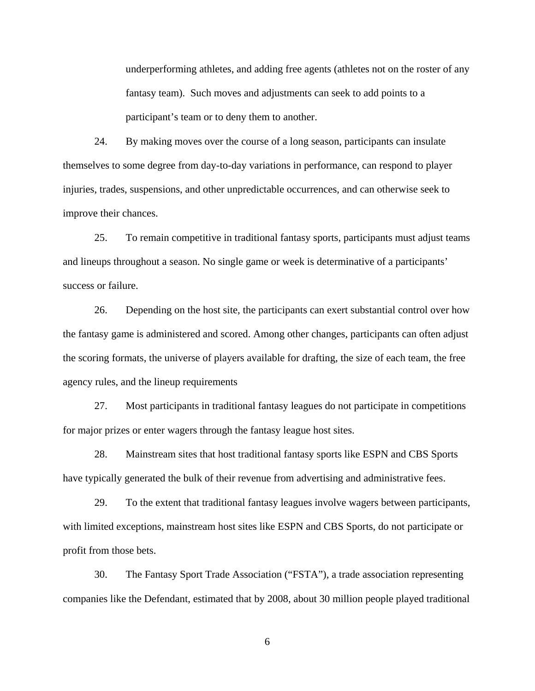underperforming athletes, and adding free agents (athletes not on the roster of any fantasy team). Such moves and adjustments can seek to add points to a participant's team or to deny them to another.

24. By making moves over the course of a long season, participants can insulate themselves to some degree from day-to-day variations in performance, can respond to player injuries, trades, suspensions, and other unpredictable occurrences, and can otherwise seek to improve their chances.

25. To remain competitive in traditional fantasy sports, participants must adjust teams and lineups throughout a season. No single game or week is determinative of a participants' success or failure.

26. Depending on the host site, the participants can exert substantial control over how the fantasy game is administered and scored. Among other changes, participants can often adjust the scoring formats, the universe of players available for drafting, the size of each team, the free agency rules, and the lineup requirements

27. Most participants in traditional fantasy leagues do not participate in competitions for major prizes or enter wagers through the fantasy league host sites.

28. Mainstream sites that host traditional fantasy sports like ESPN and CBS Sports have typically generated the bulk of their revenue from advertising and administrative fees.

29. To the extent that traditional fantasy leagues involve wagers between participants, with limited exceptions, mainstream host sites like ESPN and CBS Sports, do not participate or profit from those bets.

30. The Fantasy Sport Trade Association ("FSTA"), a trade association representing companies like the Defendant, estimated that by 2008, about 30 million people played traditional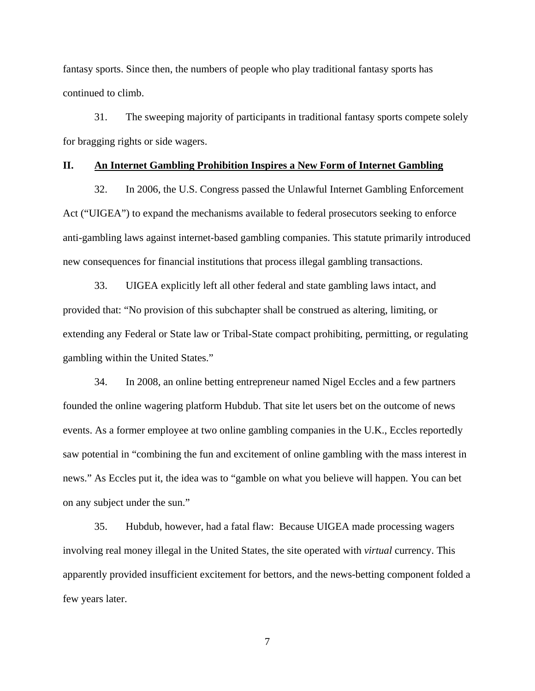fantasy sports. Since then, the numbers of people who play traditional fantasy sports has continued to climb.

31. The sweeping majority of participants in traditional fantasy sports compete solely for bragging rights or side wagers.

### **II. An Internet Gambling Prohibition Inspires a New Form of Internet Gambling**

32. In 2006, the U.S. Congress passed the Unlawful Internet Gambling Enforcement Act ("UIGEA") to expand the mechanisms available to federal prosecutors seeking to enforce anti-gambling laws against internet-based gambling companies. This statute primarily introduced new consequences for financial institutions that process illegal gambling transactions.

33. UIGEA explicitly left all other federal and state gambling laws intact, and provided that: "No provision of this subchapter shall be construed as altering, limiting, or extending any Federal or State law or Tribal-State compact prohibiting, permitting, or regulating gambling within the United States."

34. In 2008, an online betting entrepreneur named Nigel Eccles and a few partners founded the online wagering platform Hubdub. That site let users bet on the outcome of news events. As a former employee at two online gambling companies in the U.K., Eccles reportedly saw potential in "combining the fun and excitement of online gambling with the mass interest in news." As Eccles put it, the idea was to "gamble on what you believe will happen. You can bet on any subject under the sun."

35. Hubdub, however, had a fatal flaw: Because UIGEA made processing wagers involving real money illegal in the United States, the site operated with *virtual* currency. This apparently provided insufficient excitement for bettors, and the news-betting component folded a few years later.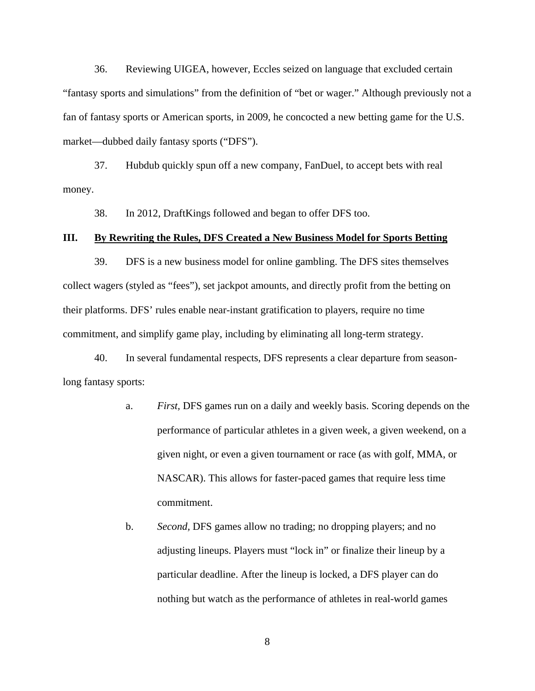36. Reviewing UIGEA, however, Eccles seized on language that excluded certain "fantasy sports and simulations" from the definition of "bet or wager." Although previously not a fan of fantasy sports or American sports, in 2009, he concocted a new betting game for the U.S. market—dubbed daily fantasy sports ("DFS").

37. Hubdub quickly spun off a new company, FanDuel, to accept bets with real money.

38. In 2012, DraftKings followed and began to offer DFS too.

#### **III. By Rewriting the Rules, DFS Created a New Business Model for Sports Betting**

39. DFS is a new business model for online gambling. The DFS sites themselves collect wagers (styled as "fees"), set jackpot amounts, and directly profit from the betting on their platforms. DFS' rules enable near-instant gratification to players, require no time commitment, and simplify game play, including by eliminating all long-term strategy.

40. In several fundamental respects, DFS represents a clear departure from seasonlong fantasy sports:

- a. *First,* DFS games run on a daily and weekly basis. Scoring depends on the performance of particular athletes in a given week, a given weekend, on a given night, or even a given tournament or race (as with golf, MMA, or NASCAR). This allows for faster-paced games that require less time commitment.
- b. *Second,* DFS games allow no trading; no dropping players; and no adjusting lineups. Players must "lock in" or finalize their lineup by a particular deadline. After the lineup is locked, a DFS player can do nothing but watch as the performance of athletes in real-world games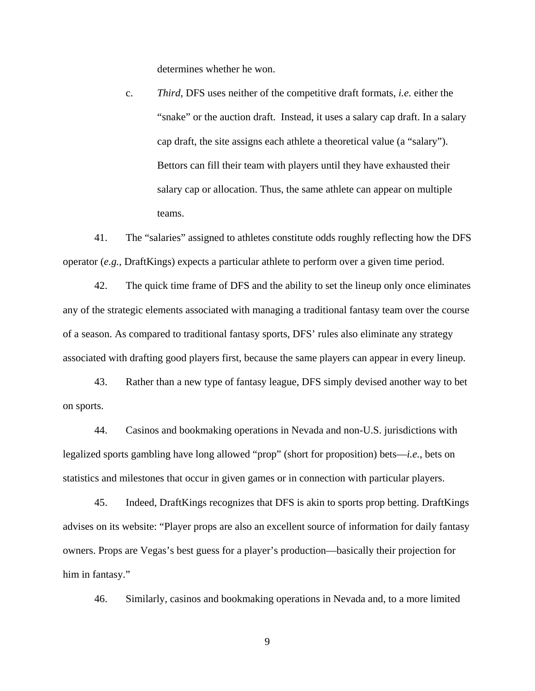determines whether he won.

c. *Third,* DFS uses neither of the competitive draft formats, *i.e.* either the "snake" or the auction draft. Instead, it uses a salary cap draft. In a salary cap draft, the site assigns each athlete a theoretical value (a "salary"). Bettors can fill their team with players until they have exhausted their salary cap or allocation. Thus, the same athlete can appear on multiple teams.

41. The "salaries" assigned to athletes constitute odds roughly reflecting how the DFS operator (*e.g.*, DraftKings) expects a particular athlete to perform over a given time period.

42. The quick time frame of DFS and the ability to set the lineup only once eliminates any of the strategic elements associated with managing a traditional fantasy team over the course of a season. As compared to traditional fantasy sports, DFS' rules also eliminate any strategy associated with drafting good players first, because the same players can appear in every lineup.

43. Rather than a new type of fantasy league, DFS simply devised another way to bet on sports.

44. Casinos and bookmaking operations in Nevada and non-U.S. jurisdictions with legalized sports gambling have long allowed "prop" (short for proposition) bets—*i.e.*, bets on statistics and milestones that occur in given games or in connection with particular players.

45. Indeed, DraftKings recognizes that DFS is akin to sports prop betting. DraftKings advises on its website: "Player props are also an excellent source of information for daily fantasy owners. Props are Vegas's best guess for a player's production—basically their projection for him in fantasy."

46. Similarly, casinos and bookmaking operations in Nevada and, to a more limited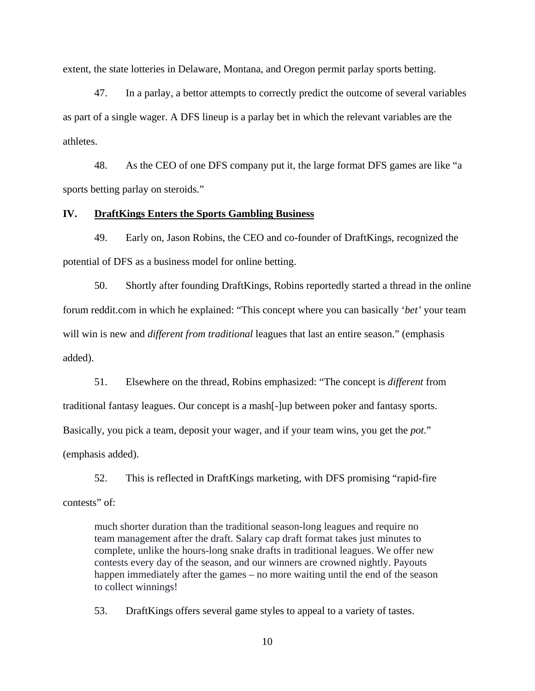extent, the state lotteries in Delaware, Montana, and Oregon permit parlay sports betting.

47. In a parlay, a bettor attempts to correctly predict the outcome of several variables as part of a single wager. A DFS lineup is a parlay bet in which the relevant variables are the athletes.

48. As the CEO of one DFS company put it, the large format DFS games are like "a sports betting parlay on steroids."

### **IV. DraftKings Enters the Sports Gambling Business**

49. Early on, Jason Robins, the CEO and co-founder of DraftKings, recognized the potential of DFS as a business model for online betting.

50. Shortly after founding DraftKings, Robins reportedly started a thread in the online forum reddit.com in which he explained: "This concept where you can basically '*bet'* your team will win is new and *different from traditional* leagues that last an entire season." (emphasis added).

51. Elsewhere on the thread, Robins emphasized: "The concept is *different* from traditional fantasy leagues. Our concept is a mash[-]up between poker and fantasy sports. Basically, you pick a team, deposit your wager, and if your team wins, you get the *pot*." (emphasis added).

52. This is reflected in DraftKings marketing, with DFS promising "rapid-fire contests" of:

much shorter duration than the traditional season-long leagues and require no team management after the draft. Salary cap draft format takes just minutes to complete, unlike the hours-long snake drafts in traditional leagues. We offer new contests every day of the season, and our winners are crowned nightly. Payouts happen immediately after the games – no more waiting until the end of the season to collect winnings!

53. DraftKings offers several game styles to appeal to a variety of tastes.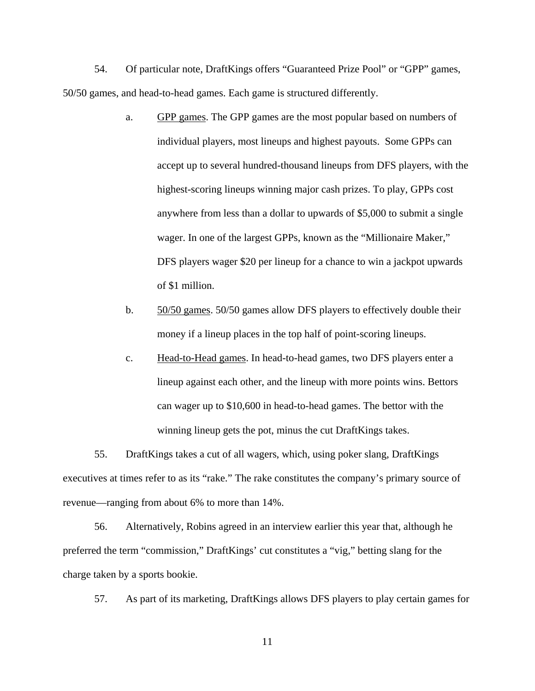54. Of particular note, DraftKings offers "Guaranteed Prize Pool" or "GPP" games, 50/50 games, and head-to-head games. Each game is structured differently.

- a. GPP games. The GPP games are the most popular based on numbers of individual players, most lineups and highest payouts. Some GPPs can accept up to several hundred-thousand lineups from DFS players, with the highest-scoring lineups winning major cash prizes. To play, GPPs cost anywhere from less than a dollar to upwards of \$5,000 to submit a single wager. In one of the largest GPPs, known as the "Millionaire Maker," DFS players wager \$20 per lineup for a chance to win a jackpot upwards of \$1 million.
- b. 50/50 games. 50/50 games allow DFS players to effectively double their money if a lineup places in the top half of point-scoring lineups.
- c. Head-to-Head games. In head-to-head games, two DFS players enter a lineup against each other, and the lineup with more points wins. Bettors can wager up to \$10,600 in head-to-head games. The bettor with the winning lineup gets the pot, minus the cut DraftKings takes.

55. DraftKings takes a cut of all wagers, which, using poker slang, DraftKings executives at times refer to as its "rake." The rake constitutes the company's primary source of revenue—ranging from about 6% to more than 14%.

56. Alternatively, Robins agreed in an interview earlier this year that, although he preferred the term "commission," DraftKings' cut constitutes a "vig," betting slang for the charge taken by a sports bookie.

57. As part of its marketing, DraftKings allows DFS players to play certain games for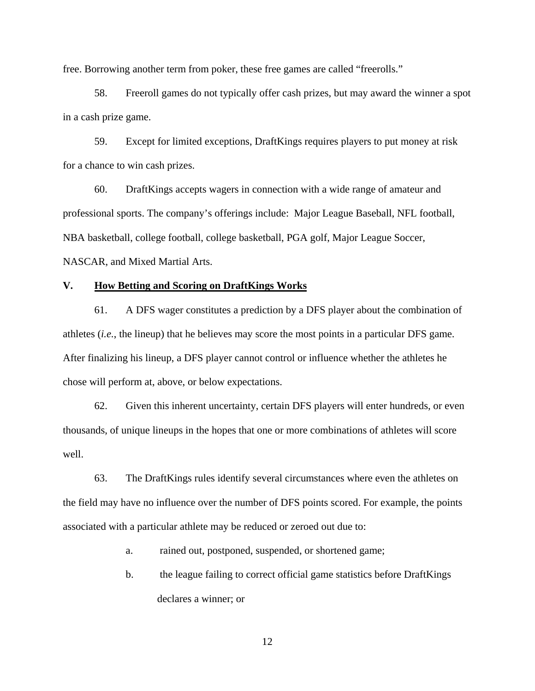free. Borrowing another term from poker, these free games are called "freerolls."

58. Freeroll games do not typically offer cash prizes, but may award the winner a spot in a cash prize game.

59. Except for limited exceptions, DraftKings requires players to put money at risk for a chance to win cash prizes.

60. DraftKings accepts wagers in connection with a wide range of amateur and professional sports. The company's offerings include: Major League Baseball, NFL football, NBA basketball, college football, college basketball, PGA golf, Major League Soccer, NASCAR, and Mixed Martial Arts.

### **V. How Betting and Scoring on DraftKings Works**

61. A DFS wager constitutes a prediction by a DFS player about the combination of athletes (*i.e.*, the lineup) that he believes may score the most points in a particular DFS game. After finalizing his lineup, a DFS player cannot control or influence whether the athletes he chose will perform at, above, or below expectations.

62. Given this inherent uncertainty, certain DFS players will enter hundreds, or even thousands, of unique lineups in the hopes that one or more combinations of athletes will score well.

63. The DraftKings rules identify several circumstances where even the athletes on the field may have no influence over the number of DFS points scored. For example, the points associated with a particular athlete may be reduced or zeroed out due to:

a. rained out, postponed, suspended, or shortened game;

b. the league failing to correct official game statistics before DraftKings declares a winner; or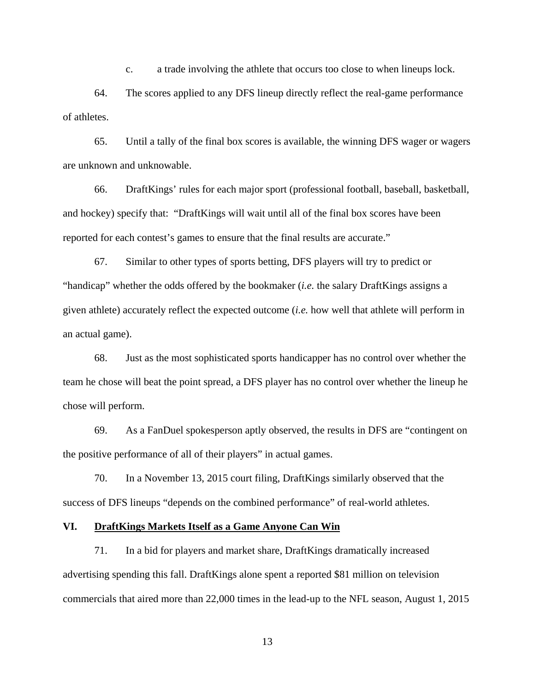c. a trade involving the athlete that occurs too close to when lineups lock.

64. The scores applied to any DFS lineup directly reflect the real-game performance of athletes.

65. Until a tally of the final box scores is available, the winning DFS wager or wagers are unknown and unknowable.

66. DraftKings' rules for each major sport (professional football, baseball, basketball, and hockey) specify that: "DraftKings will wait until all of the final box scores have been reported for each contest's games to ensure that the final results are accurate."

67. Similar to other types of sports betting, DFS players will try to predict or "handicap" whether the odds offered by the bookmaker (*i.e.* the salary DraftKings assigns a given athlete) accurately reflect the expected outcome (*i.e.* how well that athlete will perform in an actual game).

68. Just as the most sophisticated sports handicapper has no control over whether the team he chose will beat the point spread, a DFS player has no control over whether the lineup he chose will perform.

69. As a FanDuel spokesperson aptly observed, the results in DFS are "contingent on the positive performance of all of their players" in actual games.

70. In a November 13, 2015 court filing, DraftKings similarly observed that the success of DFS lineups "depends on the combined performance" of real-world athletes.

### **VI. DraftKings Markets Itself as a Game Anyone Can Win**

71. In a bid for players and market share, DraftKings dramatically increased advertising spending this fall. DraftKings alone spent a reported \$81 million on television commercials that aired more than 22,000 times in the lead-up to the NFL season, August 1, 2015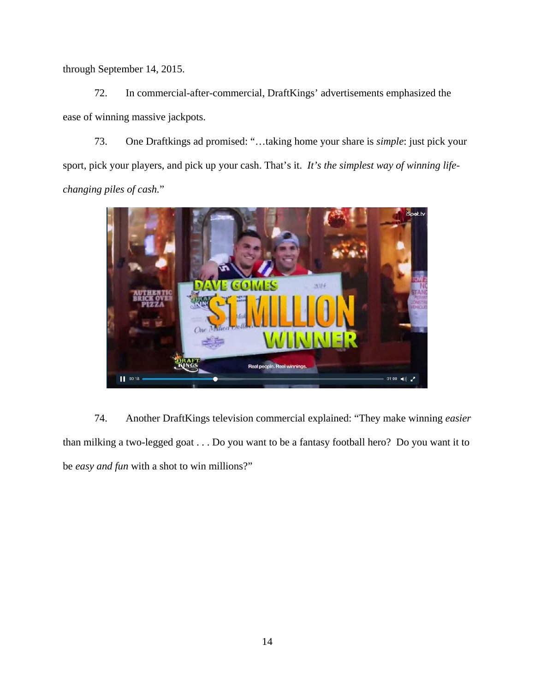through September 14, 2015.

72. In commercial-after-commercial, DraftKings' advertisements emphasized the ease of winning massive jackpots.

73. One Draftkings ad promised: "…taking home your share is *simple*: just pick your sport, pick your players, and pick up your cash. That's it. *It's the simplest way of winning lifechanging piles of cash.*"



74. Another DraftKings television commercial explained: "They make winning *easier* than milking a two-legged goat . . . Do you want to be a fantasy football hero? Do you want it to be *easy and fun* with a shot to win millions?"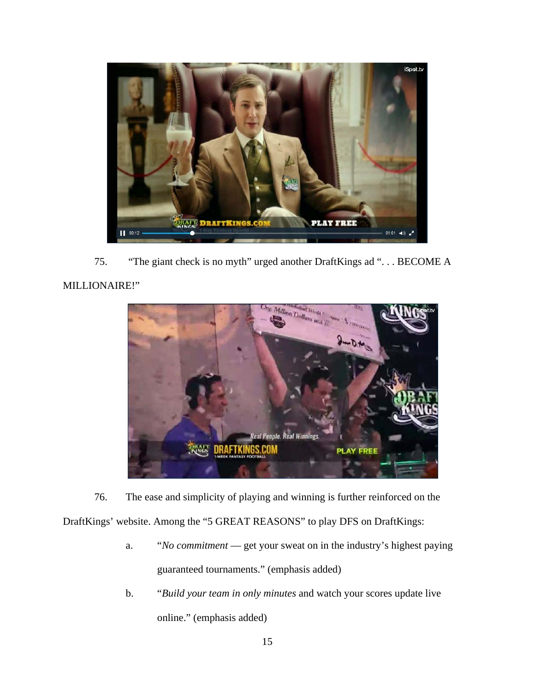

75. "The giant check is no myth" urged another DraftKings ad ". . . BECOME A

# MILLIONAIRE!"



76. The ease and simplicity of playing and winning is further reinforced on the

DraftKings' website. Among the "5 GREAT REASONS" to play DFS on DraftKings:

- a. "*No commitment*  get your sweat on in the industry's highest paying guaranteed tournaments." (emphasis added)
- b. "*Build your team in only minutes* and watch your scores update live online." (emphasis added)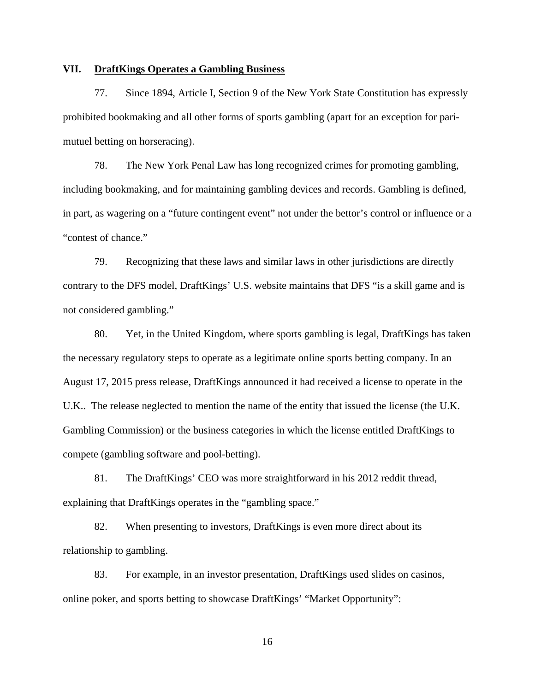### **VII. DraftKings Operates a Gambling Business**

77. Since 1894, Article I, Section 9 of the New York State Constitution has expressly prohibited bookmaking and all other forms of sports gambling (apart for an exception for parimutuel betting on horseracing).

78. The New York Penal Law has long recognized crimes for promoting gambling, including bookmaking, and for maintaining gambling devices and records. Gambling is defined, in part, as wagering on a "future contingent event" not under the bettor's control or influence or a "contest of chance."

79. Recognizing that these laws and similar laws in other jurisdictions are directly contrary to the DFS model, DraftKings' U.S. website maintains that DFS "is a skill game and is not considered gambling."

80. Yet, in the United Kingdom, where sports gambling is legal, DraftKings has taken the necessary regulatory steps to operate as a legitimate online sports betting company. In an August 17, 2015 press release, DraftKings announced it had received a license to operate in the U.K.. The release neglected to mention the name of the entity that issued the license (the U.K. Gambling Commission) or the business categories in which the license entitled DraftKings to compete (gambling software and pool-betting).

81. The DraftKings' CEO was more straightforward in his 2012 reddit thread, explaining that DraftKings operates in the "gambling space."

82. When presenting to investors, DraftKings is even more direct about its relationship to gambling.

83. For example, in an investor presentation, DraftKings used slides on casinos, online poker, and sports betting to showcase DraftKings' "Market Opportunity":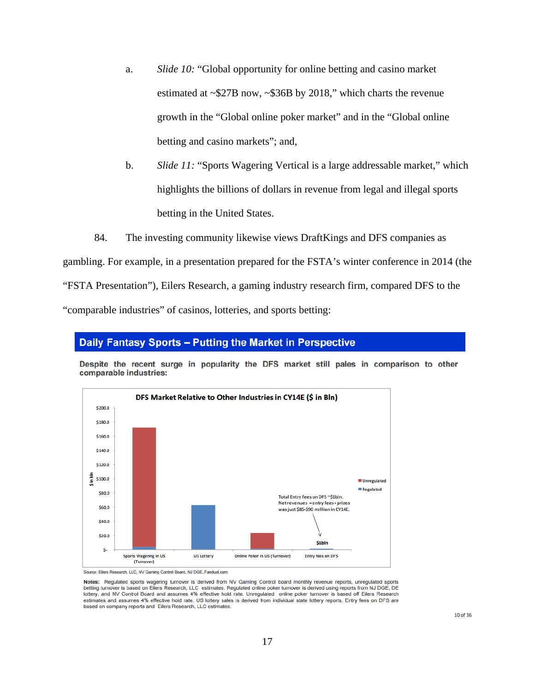- a. *Slide 10:* "Global opportunity for online betting and casino market estimated at ~\$27B now, ~\$36B by 2018," which charts the revenue growth in the "Global online poker market" and in the "Global online betting and casino markets"; and,
- b. *Slide 11:* "Sports Wagering Vertical is a large addressable market," which highlights the billions of dollars in revenue from legal and illegal sports betting in the United States.
- 84. The investing community likewise views DraftKings and DFS companies as

gambling. For example, in a presentation prepared for the FSTA's winter conference in 2014 (the "FSTA Presentation"), Eilers Research, a gaming industry research firm, compared DFS to the "comparable industries" of casinos, lotteries, and sports betting:

# Daily Fantasy Sports - Putting the Market in Perspective

Despite the recent surge in popularity the DFS market still pales in comparison to other comparable industries:



Source: Eilers Research, LLC, NV Gaming Control Board, NJ DGE, Fanduel.com

Notes: Regulated sports wagering turnover is derived from NV Gaming Control board monthly revenue reports, unregulated sports<br>betting turnover is based on Eilers Research, LLC estimates. Regulated online poker turnover is lottery, and NV Control Board and assumes 4% effective hold rate. Unregulated online poker turnover is based off Eilers Research estimates and assumes 4% effective hold rate. US lottery sales is derived from individual state lottery reports. Entry fees on DFS are based on company reports and Eilers Research, LLC estimates.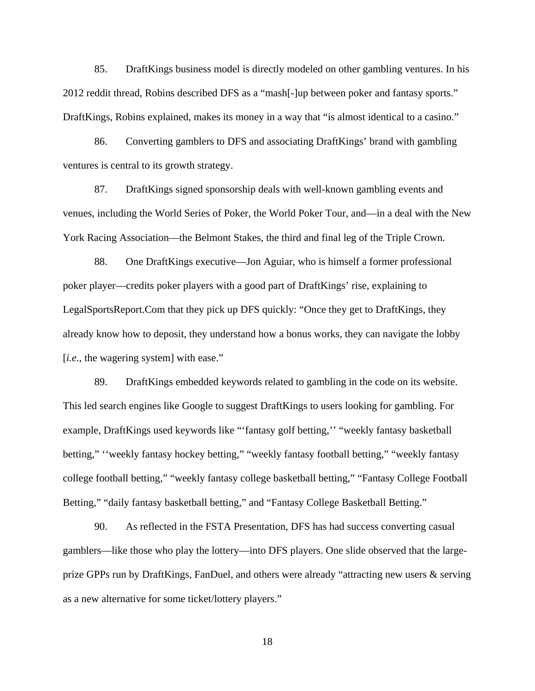85. DraftKings business model is directly modeled on other gambling ventures. In his 2012 reddit thread, Robins described DFS as a "mash[-]up between poker and fantasy sports." DraftKings, Robins explained, makes its money in a way that "is almost identical to a casino."

86. Converting gamblers to DFS and associating DraftKings' brand with gambling ventures is central to its growth strategy.

87. DraftKings signed sponsorship deals with well-known gambling events and venues, including the World Series of Poker, the World Poker Tour, and—in a deal with the New York Racing Association—the Belmont Stakes, the third and final leg of the Triple Crown.

88. One DraftKings executive—Jon Aguiar, who is himself a former professional poker player—credits poker players with a good part of DraftKings' rise, explaining to LegalSportsReport.Com that they pick up DFS quickly: "Once they get to DraftKings, they already know how to deposit, they understand how a bonus works, they can navigate the lobby [*i.e.*, the wagering system] with ease."

89. DraftKings embedded keywords related to gambling in the code on its website. This led search engines like Google to suggest DraftKings to users looking for gambling. For example, DraftKings used keywords like "'fantasy golf betting,'' "weekly fantasy basketball betting," ''weekly fantasy hockey betting," "weekly fantasy football betting," "weekly fantasy college football betting," "weekly fantasy college basketball betting," "Fantasy College Football Betting," "daily fantasy basketball betting," and "Fantasy College Basketball Betting."

90. As reflected in the FSTA Presentation, DFS has had success converting casual gamblers—like those who play the lottery—into DFS players. One slide observed that the largeprize GPPs run by DraftKings, FanDuel, and others were already "attracting new users & serving as a new alternative for some ticket/lottery players."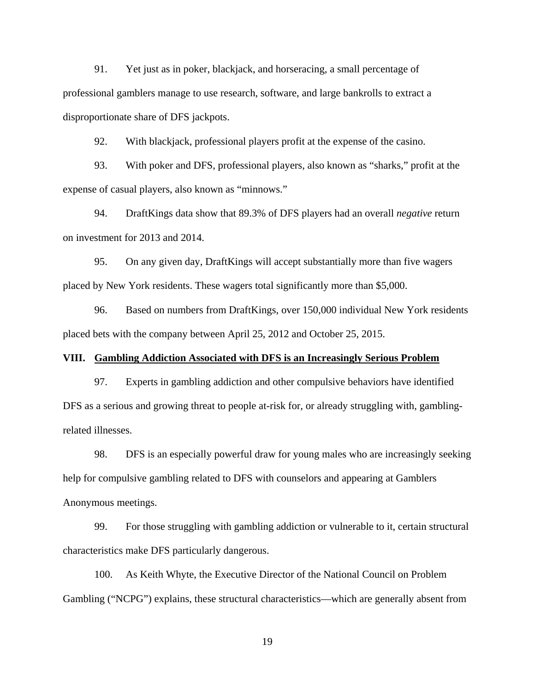91. Yet just as in poker, blackjack, and horseracing, a small percentage of professional gamblers manage to use research, software, and large bankrolls to extract a disproportionate share of DFS jackpots.

92. With blackjack, professional players profit at the expense of the casino.

93. With poker and DFS, professional players, also known as "sharks," profit at the expense of casual players, also known as "minnows."

94. DraftKings data show that 89.3% of DFS players had an overall *negative* return on investment for 2013 and 2014.

95. On any given day, DraftKings will accept substantially more than five wagers placed by New York residents. These wagers total significantly more than \$5,000.

96. Based on numbers from DraftKings, over 150,000 individual New York residents placed bets with the company between April 25, 2012 and October 25, 2015.

### **VIII. Gambling Addiction Associated with DFS is an Increasingly Serious Problem**

97. Experts in gambling addiction and other compulsive behaviors have identified DFS as a serious and growing threat to people at-risk for, or already struggling with, gamblingrelated illnesses.

98. DFS is an especially powerful draw for young males who are increasingly seeking help for compulsive gambling related to DFS with counselors and appearing at Gamblers Anonymous meetings.

99. For those struggling with gambling addiction or vulnerable to it, certain structural characteristics make DFS particularly dangerous.

100. As Keith Whyte, the Executive Director of the National Council on Problem Gambling ("NCPG") explains, these structural characteristics—which are generally absent from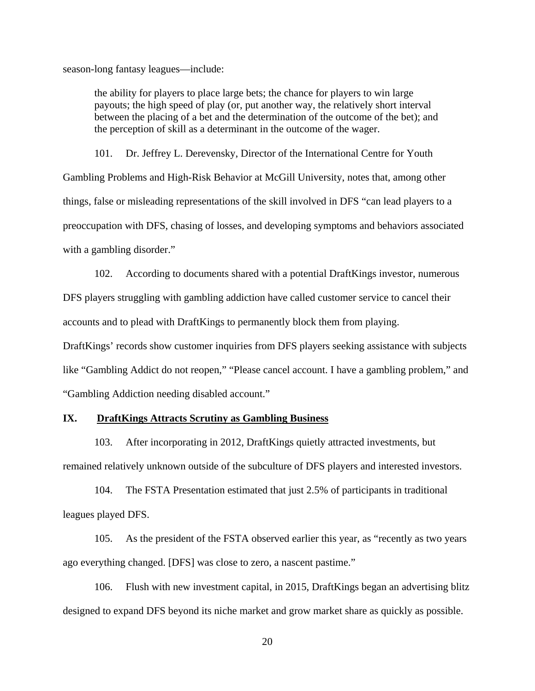season-long fantasy leagues—include:

the ability for players to place large bets; the chance for players to win large payouts; the high speed of play (or, put another way, the relatively short interval between the placing of a bet and the determination of the outcome of the bet); and the perception of skill as a determinant in the outcome of the wager.

101. Dr. Jeffrey L. Derevensky, Director of the International Centre for Youth Gambling Problems and High-Risk Behavior at McGill University, notes that, among other things, false or misleading representations of the skill involved in DFS "can lead players to a preoccupation with DFS, chasing of losses, and developing symptoms and behaviors associated with a gambling disorder."

102. According to documents shared with a potential DraftKings investor, numerous DFS players struggling with gambling addiction have called customer service to cancel their accounts and to plead with DraftKings to permanently block them from playing.

DraftKings' records show customer inquiries from DFS players seeking assistance with subjects like "Gambling Addict do not reopen," "Please cancel account. I have a gambling problem," and "Gambling Addiction needing disabled account."

# **IX. DraftKings Attracts Scrutiny as Gambling Business**

103. After incorporating in 2012, DraftKings quietly attracted investments, but remained relatively unknown outside of the subculture of DFS players and interested investors.

104. The FSTA Presentation estimated that just 2.5% of participants in traditional leagues played DFS.

105. As the president of the FSTA observed earlier this year, as "recently as two years ago everything changed. [DFS] was close to zero, a nascent pastime."

106. Flush with new investment capital, in 2015, DraftKings began an advertising blitz designed to expand DFS beyond its niche market and grow market share as quickly as possible.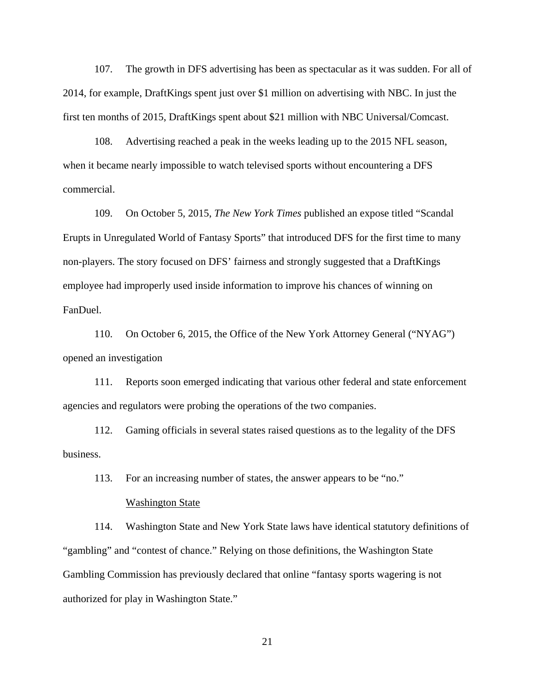107. The growth in DFS advertising has been as spectacular as it was sudden. For all of 2014, for example, DraftKings spent just over \$1 million on advertising with NBC. In just the first ten months of 2015, DraftKings spent about \$21 million with NBC Universal/Comcast.

108. Advertising reached a peak in the weeks leading up to the 2015 NFL season, when it became nearly impossible to watch televised sports without encountering a DFS commercial.

109. On October 5, 2015, *The New York Times* published an expose titled "Scandal Erupts in Unregulated World of Fantasy Sports" that introduced DFS for the first time to many non-players. The story focused on DFS' fairness and strongly suggested that a DraftKings employee had improperly used inside information to improve his chances of winning on FanDuel.

110. On October 6, 2015, the Office of the New York Attorney General ("NYAG") opened an investigation

111. Reports soon emerged indicating that various other federal and state enforcement agencies and regulators were probing the operations of the two companies.

112. Gaming officials in several states raised questions as to the legality of the DFS business.

113. For an increasing number of states, the answer appears to be "no."

#### Washington State

114. Washington State and New York State laws have identical statutory definitions of "gambling" and "contest of chance." Relying on those definitions, the Washington State Gambling Commission has previously declared that online "fantasy sports wagering is not authorized for play in Washington State."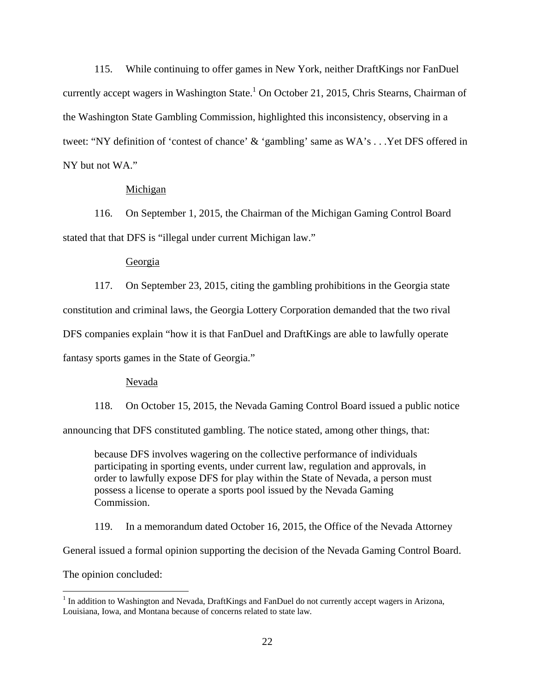115. While continuing to offer games in New York, neither DraftKings nor FanDuel currently accept wagers in Washington State.<sup>1</sup> On October 21, 2015, Chris Stearns, Chairman of the Washington State Gambling Commission, highlighted this inconsistency, observing in a tweet: "NY definition of 'contest of chance' & 'gambling' same as WA's . . .Yet DFS offered in NY but not WA."

### Michigan

116. On September 1, 2015, the Chairman of the Michigan Gaming Control Board stated that that DFS is "illegal under current Michigan law."

### Georgia

117. On September 23, 2015, citing the gambling prohibitions in the Georgia state constitution and criminal laws, the Georgia Lottery Corporation demanded that the two rival DFS companies explain "how it is that FanDuel and DraftKings are able to lawfully operate fantasy sports games in the State of Georgia."

#### Nevada

118. On October 15, 2015, the Nevada Gaming Control Board issued a public notice announcing that DFS constituted gambling. The notice stated, among other things, that:

because DFS involves wagering on the collective performance of individuals participating in sporting events, under current law, regulation and approvals, in order to lawfully expose DFS for play within the State of Nevada, a person must possess a license to operate a sports pool issued by the Nevada Gaming Commission.

119. In a memorandum dated October 16, 2015, the Office of the Nevada Attorney

General issued a formal opinion supporting the decision of the Nevada Gaming Control Board.

The opinion concluded:

 $\overline{a}$ 

<sup>&</sup>lt;sup>1</sup> In addition to Washington and Nevada, DraftKings and FanDuel do not currently accept wagers in Arizona, Louisiana, Iowa, and Montana because of concerns related to state law*.*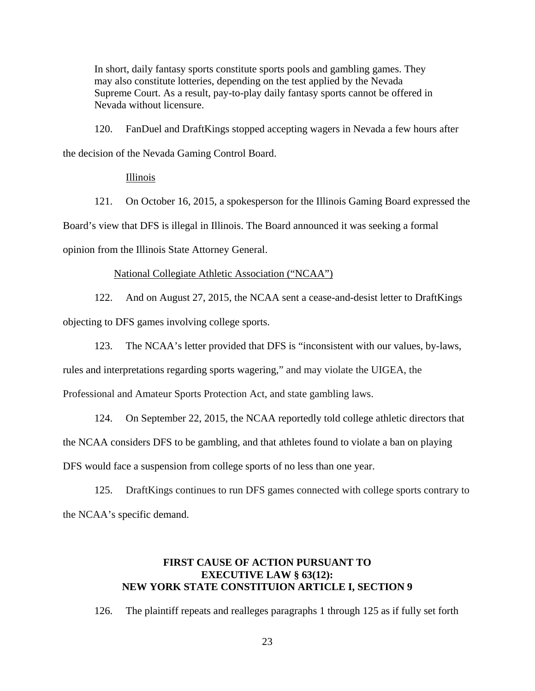In short, daily fantasy sports constitute sports pools and gambling games. They may also constitute lotteries, depending on the test applied by the Nevada Supreme Court. As a result, pay-to-play daily fantasy sports cannot be offered in Nevada without licensure.

120. FanDuel and DraftKings stopped accepting wagers in Nevada a few hours after the decision of the Nevada Gaming Control Board.

Illinois

121. On October 16, 2015, a spokesperson for the Illinois Gaming Board expressed the Board's view that DFS is illegal in Illinois. The Board announced it was seeking a formal opinion from the Illinois State Attorney General.

### National Collegiate Athletic Association ("NCAA")

122. And on August 27, 2015, the NCAA sent a cease-and-desist letter to DraftKings objecting to DFS games involving college sports.

123. The NCAA's letter provided that DFS is "inconsistent with our values, by-laws,

rules and interpretations regarding sports wagering," and may violate the UIGEA, the

Professional and Amateur Sports Protection Act, and state gambling laws.

124. On September 22, 2015, the NCAA reportedly told college athletic directors that the NCAA considers DFS to be gambling, and that athletes found to violate a ban on playing DFS would face a suspension from college sports of no less than one year.

125. DraftKings continues to run DFS games connected with college sports contrary to the NCAA's specific demand.

# **FIRST CAUSE OF ACTION PURSUANT TO EXECUTIVE LAW § 63(12): NEW YORK STATE CONSTITUION ARTICLE I, SECTION 9**

126. The plaintiff repeats and realleges paragraphs 1 through 125 as if fully set forth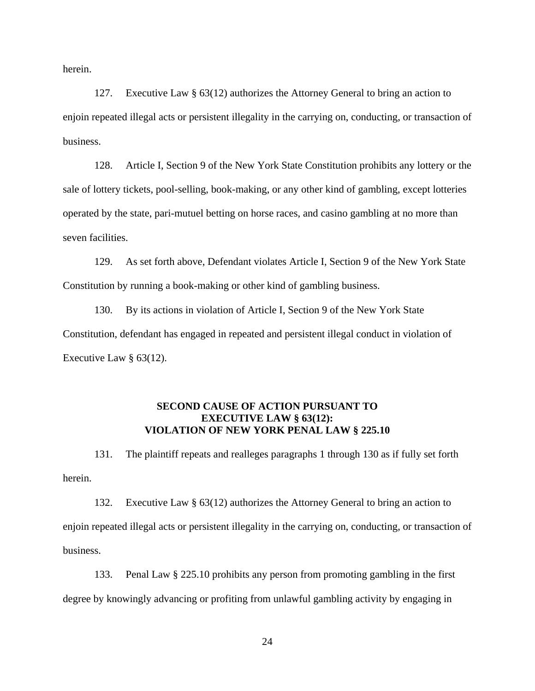herein.

127. Executive Law § 63(12) authorizes the Attorney General to bring an action to enjoin repeated illegal acts or persistent illegality in the carrying on, conducting, or transaction of business.

128. Article I, Section 9 of the New York State Constitution prohibits any lottery or the sale of lottery tickets, pool-selling, book-making, or any other kind of gambling, except lotteries operated by the state, pari-mutuel betting on horse races, and casino gambling at no more than seven facilities.

129. As set forth above, Defendant violates Article I, Section 9 of the New York State Constitution by running a book-making or other kind of gambling business.

130. By its actions in violation of Article I, Section 9 of the New York State Constitution, defendant has engaged in repeated and persistent illegal conduct in violation of Executive Law § 63(12).

### **SECOND CAUSE OF ACTION PURSUANT TO EXECUTIVE LAW § 63(12): VIOLATION OF NEW YORK PENAL LAW § 225.10**

131. The plaintiff repeats and realleges paragraphs 1 through 130 as if fully set forth herein.

132. Executive Law § 63(12) authorizes the Attorney General to bring an action to enjoin repeated illegal acts or persistent illegality in the carrying on, conducting, or transaction of business.

133. Penal Law § 225.10 prohibits any person from promoting gambling in the first degree by knowingly advancing or profiting from unlawful gambling activity by engaging in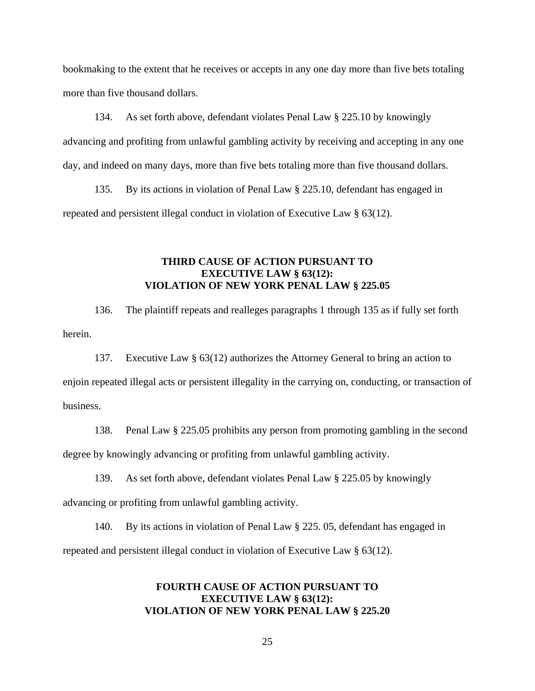bookmaking to the extent that he receives or accepts in any one day more than five bets totaling more than five thousand dollars.

134. As set forth above, defendant violates Penal Law § 225.10 by knowingly advancing and profiting from unlawful gambling activity by receiving and accepting in any one day, and indeed on many days, more than five bets totaling more than five thousand dollars.

135. By its actions in violation of Penal Law § 225.10, defendant has engaged in repeated and persistent illegal conduct in violation of Executive Law § 63(12).

# **THIRD CAUSE OF ACTION PURSUANT TO EXECUTIVE LAW § 63(12): VIOLATION OF NEW YORK PENAL LAW § 225.05**

136. The plaintiff repeats and realleges paragraphs 1 through 135 as if fully set forth herein.

137. Executive Law § 63(12) authorizes the Attorney General to bring an action to enjoin repeated illegal acts or persistent illegality in the carrying on, conducting, or transaction of business.

138. Penal Law § 225.05 prohibits any person from promoting gambling in the second degree by knowingly advancing or profiting from unlawful gambling activity.

139. As set forth above, defendant violates Penal Law § 225.05 by knowingly advancing or profiting from unlawful gambling activity.

140. By its actions in violation of Penal Law § 225. 05, defendant has engaged in repeated and persistent illegal conduct in violation of Executive Law § 63(12).

# **FOURTH CAUSE OF ACTION PURSUANT TO EXECUTIVE LAW § 63(12): VIOLATION OF NEW YORK PENAL LAW § 225.20**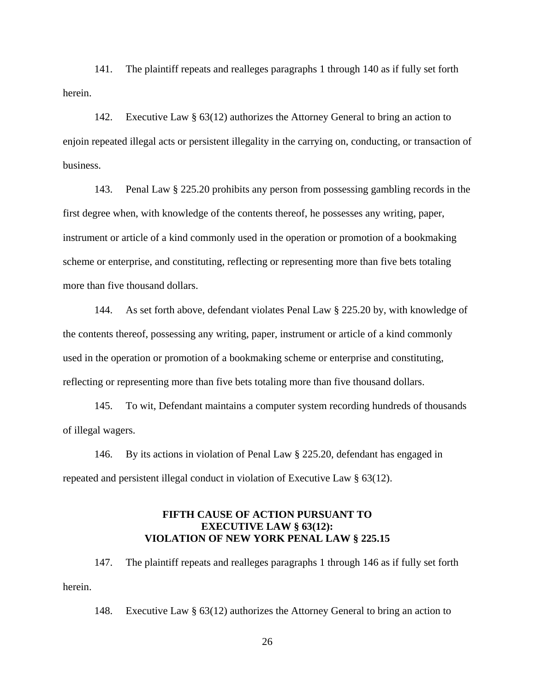141. The plaintiff repeats and realleges paragraphs 1 through 140 as if fully set forth herein.

142. Executive Law § 63(12) authorizes the Attorney General to bring an action to enjoin repeated illegal acts or persistent illegality in the carrying on, conducting, or transaction of business.

143. Penal Law § 225.20 prohibits any person from possessing gambling records in the first degree when, with knowledge of the contents thereof, he possesses any writing, paper, instrument or article of a kind commonly used in the operation or promotion of a bookmaking scheme or enterprise, and constituting, reflecting or representing more than five bets totaling more than five thousand dollars.

144. As set forth above, defendant violates Penal Law § 225.20 by, with knowledge of the contents thereof, possessing any writing, paper, instrument or article of a kind commonly used in the operation or promotion of a bookmaking scheme or enterprise and constituting, reflecting or representing more than five bets totaling more than five thousand dollars.

145. To wit, Defendant maintains a computer system recording hundreds of thousands of illegal wagers.

146. By its actions in violation of Penal Law § 225.20, defendant has engaged in repeated and persistent illegal conduct in violation of Executive Law § 63(12).

# **FIFTH CAUSE OF ACTION PURSUANT TO EXECUTIVE LAW § 63(12): VIOLATION OF NEW YORK PENAL LAW § 225.15**

147. The plaintiff repeats and realleges paragraphs 1 through 146 as if fully set forth herein.

148. Executive Law § 63(12) authorizes the Attorney General to bring an action to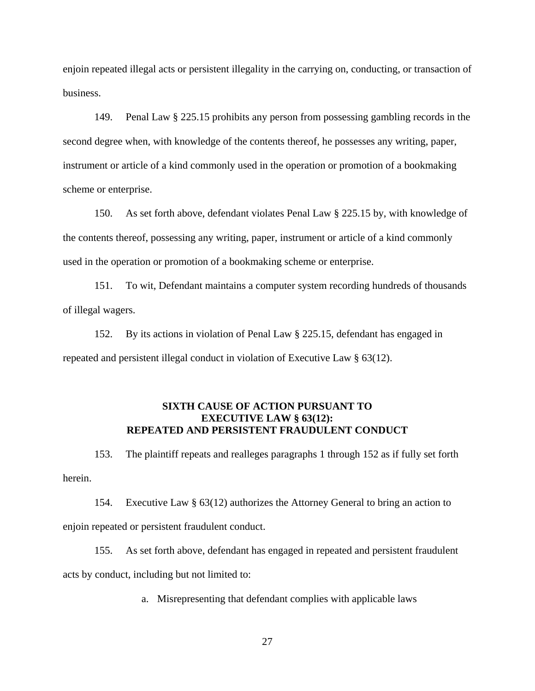enjoin repeated illegal acts or persistent illegality in the carrying on, conducting, or transaction of business.

149. Penal Law § 225.15 prohibits any person from possessing gambling records in the second degree when, with knowledge of the contents thereof, he possesses any writing, paper, instrument or article of a kind commonly used in the operation or promotion of a bookmaking scheme or enterprise.

150. As set forth above, defendant violates Penal Law § 225.15 by, with knowledge of the contents thereof, possessing any writing, paper, instrument or article of a kind commonly used in the operation or promotion of a bookmaking scheme or enterprise.

151. To wit, Defendant maintains a computer system recording hundreds of thousands of illegal wagers.

152. By its actions in violation of Penal Law § 225.15, defendant has engaged in repeated and persistent illegal conduct in violation of Executive Law § 63(12).

### **SIXTH CAUSE OF ACTION PURSUANT TO EXECUTIVE LAW § 63(12): REPEATED AND PERSISTENT FRAUDULENT CONDUCT**

153. The plaintiff repeats and realleges paragraphs 1 through 152 as if fully set forth herein.

154. Executive Law § 63(12) authorizes the Attorney General to bring an action to enjoin repeated or persistent fraudulent conduct.

155. As set forth above, defendant has engaged in repeated and persistent fraudulent acts by conduct, including but not limited to:

a. Misrepresenting that defendant complies with applicable laws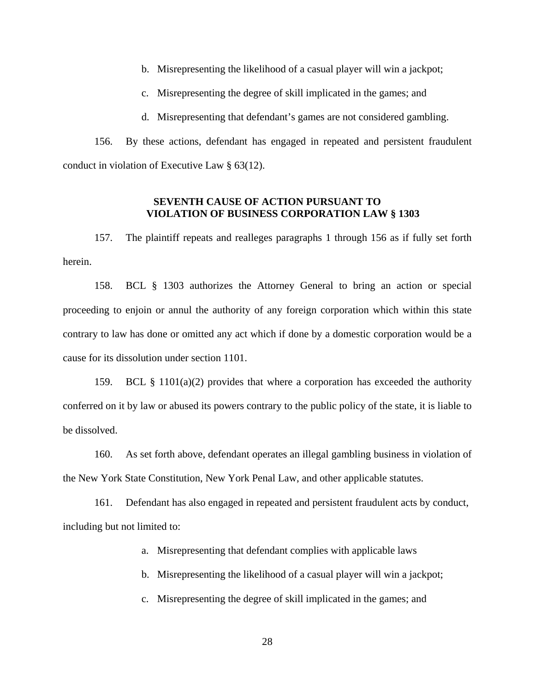b. Misrepresenting the likelihood of a casual player will win a jackpot;

c. Misrepresenting the degree of skill implicated in the games; and

d. Misrepresenting that defendant's games are not considered gambling.

156. By these actions, defendant has engaged in repeated and persistent fraudulent conduct in violation of Executive Law § 63(12).

# **SEVENTH CAUSE OF ACTION PURSUANT TO VIOLATION OF BUSINESS CORPORATION LAW § 1303**

157. The plaintiff repeats and realleges paragraphs 1 through 156 as if fully set forth herein.

158. BCL § 1303 authorizes the Attorney General to bring an action or special proceeding to enjoin or annul the authority of any foreign corporation which within this state contrary to law has done or omitted any act which if done by a domestic corporation would be a cause for its dissolution under section 1101.

159. BCL § 1101(a)(2) provides that where a corporation has exceeded the authority conferred on it by law or abused its powers contrary to the public policy of the state, it is liable to be dissolved.

160. As set forth above, defendant operates an illegal gambling business in violation of the New York State Constitution, New York Penal Law, and other applicable statutes.

161. Defendant has also engaged in repeated and persistent fraudulent acts by conduct, including but not limited to:

a. Misrepresenting that defendant complies with applicable laws

b. Misrepresenting the likelihood of a casual player will win a jackpot;

c. Misrepresenting the degree of skill implicated in the games; and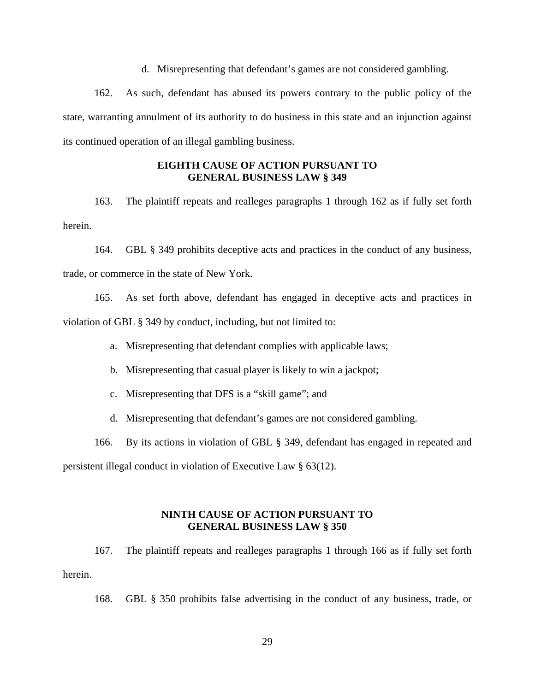d. Misrepresenting that defendant's games are not considered gambling.

162. As such, defendant has abused its powers contrary to the public policy of the state, warranting annulment of its authority to do business in this state and an injunction against its continued operation of an illegal gambling business.

# **EIGHTH CAUSE OF ACTION PURSUANT TO GENERAL BUSINESS LAW § 349**

163. The plaintiff repeats and realleges paragraphs 1 through 162 as if fully set forth herein.

164. GBL § 349 prohibits deceptive acts and practices in the conduct of any business, trade, or commerce in the state of New York.

165. As set forth above, defendant has engaged in deceptive acts and practices in violation of GBL § 349 by conduct, including, but not limited to:

a. Misrepresenting that defendant complies with applicable laws;

b. Misrepresenting that casual player is likely to win a jackpot;

c. Misrepresenting that DFS is a "skill game"; and

d. Misrepresenting that defendant's games are not considered gambling.

166. By its actions in violation of GBL § 349, defendant has engaged in repeated and

persistent illegal conduct in violation of Executive Law § 63(12).

# **NINTH CAUSE OF ACTION PURSUANT TO GENERAL BUSINESS LAW § 350**

167. The plaintiff repeats and realleges paragraphs 1 through 166 as if fully set forth herein.

168. GBL § 350 prohibits false advertising in the conduct of any business, trade, or